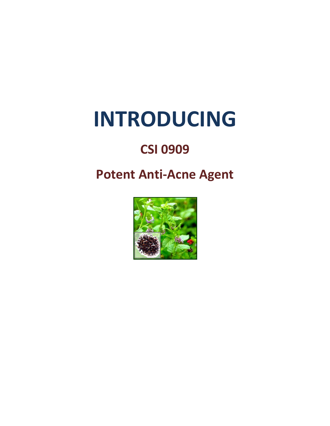# **INTRODUCING**

## **CSI 0909**

### **Potent Anti-Acne Agent**

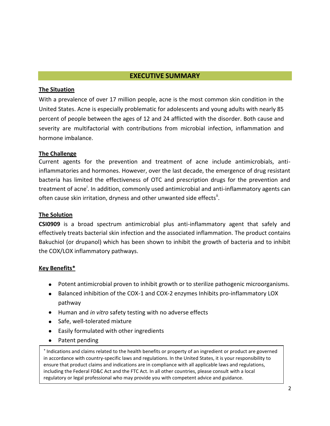#### **EXECUTIVE SUMMARY**

#### **The Situation**

With a prevalence of over 17 million people, acne is the most common skin condition in the United States. Acne is especially problematic for adolescents and young adults with nearly 85 percent of people between the ages of 12 and 24 afflicted with the disorder. Both cause and severity are multifactorial with contributions from microbial infection, inflammation and hormone imbalance.

#### **The Challenge**

Current agents for the prevention and treatment of acne include antimicrobials, antiinflammatories and hormones. However, over the last decade, the emergence of drug resistant bacteria has limited the effectiveness of OTC and prescription drugs for the prevention and treatment of acne<sup>i</sup>. In addition, commonly used antimicrobial and anti-inflammatory agents can often cause skin irritation, dryness and other unwanted side effects<sup>ii</sup>.

#### **The Solution**

**CSI0909** is a broad spectrum antimicrobial plus anti-inflammatory agent that safely and effectively treats bacterial skin infection and the associated inflammation. The product contains Bakuchiol (or drupanol) which has been shown to inhibit the growth of bacteria and to inhibit the COX/LOX inflammatory pathways.

#### **Key Benefits\***

- Potent antimicrobial proven to inhibit growth or to sterilize pathogenic microorganisms.
- Balanced inhibition of the COX-1 and COX-2 enzymes Inhibits pro-inflammatory LOX pathway
- Human and *in vitro* safety testing with no adverse effects
- Safe, well-tolerated mixture
- Easily formulated with other ingredients
- Patent pending  $\bullet$

 $\frac{1}{2}$ \* Indications and claims related to the health benefits or property of an ingredient or product are governed in accordance with country-specific laws and regulations. In the United States, it is your responsibility to ensure that product claims and indications are in compliance with all applicable laws and regulations, including the Federal FD&C Act and the FTC Act. In all other countries, please consult with a local regulatory or legal professional who may provide you with competent advice and guidance.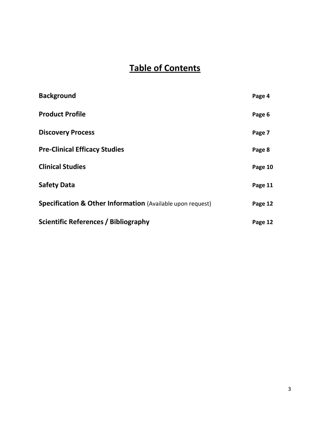### **Table of Contents**

| <b>Background</b>                                          | Page 4  |
|------------------------------------------------------------|---------|
| <b>Product Profile</b>                                     | Page 6  |
| <b>Discovery Process</b>                                   | Page 7  |
| <b>Pre-Clinical Efficacy Studies</b>                       | Page 8  |
| <b>Clinical Studies</b>                                    | Page 10 |
| <b>Safety Data</b>                                         | Page 11 |
| Specification & Other Information (Available upon request) | Page 12 |
| <b>Scientific References / Bibliography</b>                | Page 12 |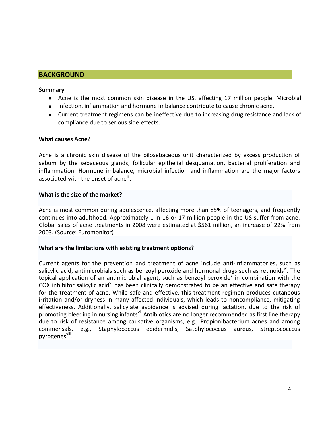#### **BACKGROUND**

#### **Summary**

- Acne is the most common skin disease in the US, affecting 17 million people. Microbial
- infection, inflammation and hormone imbalance contribute to cause chronic acne.
- Current treatment regimens can be ineffective due to increasing drug resistance and lack of compliance due to serious side effects.

#### **What causes Acne?**

Acne is a chronic skin disease of the pilosebaceous unit characterized by excess production of sebum by the sebaceous glands, follicular epithelial desquamation, bacterial proliferation and inflammation. Hormone imbalance, microbial infection and inflammation are the major factors associated with the onset of acne $^{\text{iii}}$ .

#### **What is the size of the market?**

Acne is most common during adolescence, affecting more than 85% of teenagers, and frequently continues into adulthood. Approximately 1 in 16 or 17 million people in the US suffer from acne. Global sales of acne treatments in 2008 were estimated at \$561 million, an increase of 22% from 2003. (Source: Euromonitor)

#### **What are the limitations with existing treatment options?**

Current agents for the prevention and treatment of acne include anti-inflammatories, such as salicylic acid, antimicrobials such as benzoyl peroxide and hormonal drugs such as retinoids<sup>"</sup>. The topical application of an antimicrobial agent, such as benzoyl peroxide<sup>v</sup> in combination with the COX inhibitor salicylic acid<sup>vi</sup> has been clinically demonstrated to be an effective and safe therapy for the treatment of acne. While safe and effective, this treatment regimen produces cutaneous irritation and/or dryness in many affected individuals, which leads to noncompliance, mitigating effectiveness. Additionally, salicylate avoidance is advised during lactation, due to the risk of promoting bleeding in nursing infants<sup>vii</sup> Antibiotics are no longer recommended as first line therapy due to risk of resistance among causative organisms, e.g., Propionibacterium acnes and among commensals, e.g., Staphylococcus epidermidis, Satphylococcus aureus, Streptococccus pyrogenes<sup>viii</sup>.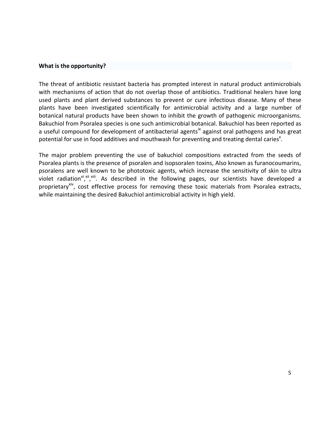#### **What is the opportunity?**

The threat of antibiotic resistant bacteria has prompted interest in natural product antimicrobials with mechanisms of action that do not overlap those of antibiotics. Traditional healers have long used plants and plant derived substances to prevent or cure infectious disease. Many of these plants have been investigated scientifically for antimicrobial activity and a large number of botanical natural products have been shown to inhibit the growth of pathogenic microorganisms. Bakuchiol from Psoralea species is one such antimicrobial botanical. Bakuchiol has been reported as a useful compound for development of antibacterial agents<sup>ix</sup> against oral pathogens and has great potential for use in food additives and mouthwash for preventing and treating dental caries<sup>x</sup>.

The major problem preventing the use of bakuchiol compositions extracted from the seeds of Psoralea plants is the presence of psoralen and isopsoralen toxins, Also known as furanocoumarins, psoralens are well known to be phototoxic agents, which increase the sensitivity of skin to ultra violet radiation<sup>xi xii xiii</sup>. As described in the following pages, our scientists have developed a proprietary<sup>xiv</sup>, cost effective process for removing these toxic materials from Psoralea extracts, while maintaining the desired Bakuchiol antimicrobial activity in high yield.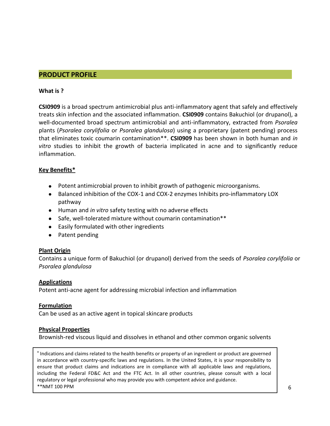#### **PRODUCT PROFILE**

#### **What is ?**

**CSI0909** is a broad spectrum antimicrobial plus anti-inflammatory agent that safely and effectively treats skin infection and the associated inflammation. **CSI0909** contains Bakuchiol (or drupanol), a well-documented broad spectrum antimicrobial and anti-inflammatory, extracted from *Psoralea*  plants (*Psoralea corylifolia* or *Psoralea glandulosa*) using a proprietary (patent pending) process that eliminates toxic coumarin contamination\*\*. **CSI0909** has been shown in both human and *in vitro* studies to inhibit the growth of bacteria implicated in acne and to significantly reduce inflammation.

#### **Key Benefits\***

- Potent antimicrobial proven to inhibit growth of pathogenic microorganisms.
- Balanced inhibition of the COX-1 and COX-2 enzymes Inhibits pro-inflammatory LOX pathway
- Human and *in vitro* safety testing with no adverse effects
- Safe, well-tolerated mixture without coumarin contamination\*\*
- Easily formulated with other ingredients
- Patent pending

#### **Plant Origin**

Contains a unique form of Bakuchiol (or drupanol) derived from the seeds of *Psoralea corylifolia* or *Psoralea glandulosa*

#### **Applications**

Potent anti-acne agent for addressing microbial infection and inflammation

#### **Formulation**

Can be used as an active agent in topical skincare products

#### **Physical Properties**

Brownish-red viscous liquid and dissolves in ethanol and other common organic solvents

\* Indications and claims related to the health benefits or property of an ingredient or product are governed in accordance with country-specific laws and regulations. In the United States, it is your responsibility to ensure that product claims and indications are in compliance with all applicable laws and regulations, including the Federal FD&C Act and the FTC Act. In all other countries, please consult with a local regulatory or legal professional who may provide you with competent advice and guidance. \*\*NMT 100 PPM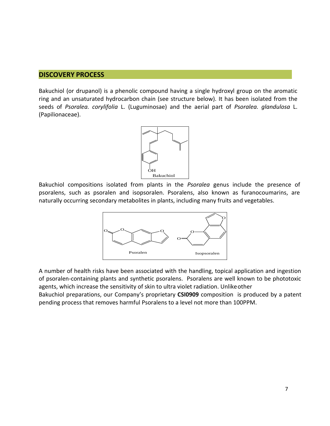#### **DISCOVERY PROCESS**

Bakuchiol (or drupanol) is a phenolic compound having a single hydroxyl group on the aromatic ring and an unsaturated hydrocarbon chain (see structure below). It has been isolated from the seeds of *Psoralea. corylifolia* L. (Luguminosae) and the aerial part of *Psoralea. glandulosa* L. (Papilionaceae).



Bakuchiol compositions isolated from plants in the *Psoralea* genus include the presence of psoralens, such as psoralen and isopsoralen. Psoralens, also known as furanocoumarins, are naturally occurring secondary metabolites in plants, including many fruits and vegetables.



A number of health risks have been associated with the handling, topical application and ingestion of psoralen-containing plants and synthetic psoralens. Psoralens are well known to be phototoxic agents, which increase the sensitivity of skin to ultra violet radiation. Unlikeother Bakuchiol preparations, our Company's proprietary **CSI0909** composition is produced by a patent

pending process that removes harmful Psoralens to a level not more than 100PPM.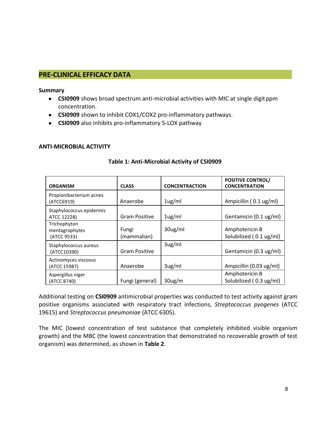#### **PRE-CLINICAL EFFICACY DATA**

#### **Summary**

- **CSI0909** shows broad spectrum anti-microbial activities with MIC at single digitppm concentration.
- **CSI0909** shown to inhibit COX1/COX2 pro-inflammatory pathways.
- **CSI0909** also inhibits pro-inflammatory 5-LOX pathway

#### **ANTI-MICROBIAL ACTIVITY**

| <b>ORGANISM</b>                               | <b>CLASS</b>         | <b>CONCENTRACTION</b> | <b>POSITIVE CONTROL/</b><br><b>CONCENTRATION</b> |
|-----------------------------------------------|----------------------|-----------------------|--------------------------------------------------|
| Propionibacterium acnes<br>(ATCC6919)         | Anaerobe             | 1 <sub>ug</sub> /ml   | Ampicillin (0.1 ug/ml)                           |
| Staphylococcus epidermis<br>ATCC 12228)       | <b>Gram Positive</b> | 1 <sub>ug</sub> /ml   | Gentamicin (0.1 ug/ml)                           |
| Trichophyton<br>mentagrophytes<br>(ATCC 9533) | Fungi<br>(mammalian) | 30ug/ml               | Amphotericin B<br>Solubilized (0.1 ug/ml)        |
| Staphylococcus aureus<br>(ATCC10390)          | <b>Gram Positive</b> | 3 <sub>ug</sub> /ml   | Gentamicin (0.3 ug/ml)                           |
| Actinomyces viscosus<br>(ATCC 15987)          | Anaerobe             | 3 <sub>ug</sub> /ml   | Ampicillin (0.03 ug/ml)                          |
| Aspergillus niger<br>(ATCC 8740)              | Fungi (general)      | 30 <sub>ug/m</sub>    | Amphotericin B<br>Solubilized (0.3 ug/ml)        |

#### **Table 1: Anti-Microbial Activity of CSI0909**

Additional testing on **CSI0909** antimicrobial properties was conducted to test activity against gram positive organisms associated with respiratory tract infections, *Streptococcus pyogenes* (ATCC 19615) and *Streptococcus pneumoniae* (ATCC 6305).

The MIC (lowest concentration of test substance that completely inhibited visible organism growth) and the MBC (the lowest concentration that demonstrated no recoverable growth of test organism) was determined, as shown in **Table 2**.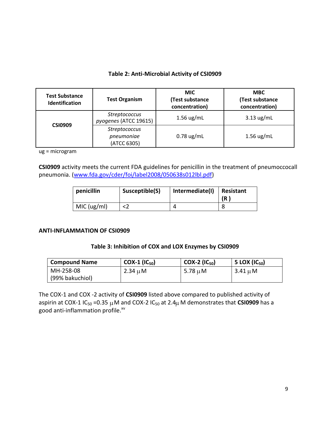#### **Table 2: Anti-Microbial Activity of CSI0909**

| <b>Test Substance</b><br><b>Identification</b> | <b>Test Organism</b>                              | <b>MIC</b><br>(Test substance<br>concentration) | <b>MBC</b><br>(Test substance<br>concentration) |
|------------------------------------------------|---------------------------------------------------|-------------------------------------------------|-------------------------------------------------|
| <b>CSI0909</b>                                 | <b>Streptococcus</b><br>pyogenes (ATCC 19615)     | $1.56$ ug/mL                                    | $3.13 \text{ ug/mL}$                            |
|                                                | <b>Streptococcus</b><br>pneumoniae<br>(ATCC 6305) | $0.78$ ug/mL                                    | $1.56$ ug/mL                                    |

ug = microgram

**CSI0909** activity meets the current FDA guidelines for penicillin in the treatment of pneumoccocall pneumonia. [\(www.fda.gov/cder/foi/label2008/050638s012lbl.pdf\)](http://www.fda.gov/cder/foi/label2008/050638s012lbl.pdf)

| penicillin  | Susceptible(S) | Intermediate(I) | Resistant<br>(R |
|-------------|----------------|-----------------|-----------------|
| MIC (ug/ml) |                |                 |                 |

#### **ANTI-INFLAMMATION OF CSI0909**

#### **Table 3: Inhibition of COX and LOX Enzymes by CSI0909**

| <b>Compound Name</b> | $COX-1$ ( $IC_{50}$ ) | $COX-2$ (IC <sub>50</sub> ) | 5 LOX $(IC_{50})$ |
|----------------------|-----------------------|-----------------------------|-------------------|
| MH-258-08            | 2.34 $\mu$ M          | 5.78 $\mu$ M                | 3.41 $\mu$ M      |
| (99% bakuchiol)      |                       |                             |                   |

The COX-1 and COX -2 activity of **CSI0909** listed above compared to published activity of aspirin at COX-1 IC<sub>50</sub> = 0.35  $\mu$  M and COX-2 IC<sub>50</sub> at 2.4 $\mu$  M demonstrates that CSI0909 has a good anti-inflammation profile.<sup>xv</sup>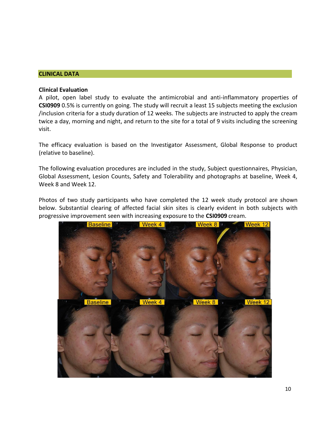#### **CLINICAL DATA**

#### **Clinical Evaluation**

A pilot, open label study to evaluate the antimicrobial and anti-inflammatory properties of **CSI0909** 0.5% is currently on going. The study will recruit a least 15 subjects meeting the exclusion /inclusion criteria for a study duration of 12 weeks. The subjects are instructed to apply the cream twice a day, morning and night, and return to the site for a total of 9 visits including the screening visit.

The efficacy evaluation is based on the Investigator Assessment, Global Response to product (relative to baseline).

The following evaluation procedures are included in the study, Subject questionnaires, Physician, Global Assessment, Lesion Counts, Safety and Tolerability and photographs at baseline, Week 4, Week 8 and Week 12.

Photos of two study participants who have completed the 12 week study protocol are shown below. Substantial clearing of affected facial skin sites is clearly evident in both subjects with progressive improvement seen with increasing exposure to the **CSI0909** cream.

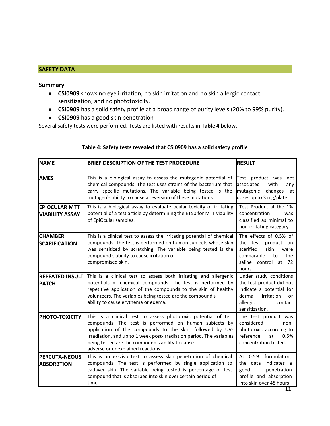#### **SAFETY DATA**

#### **Summary**

- **CSI0909** shows no eye irritation, no skin irritation and no skin allergic contact sensitization, and no phototoxicity.
- **CSI0909** has a solid safety profile at a broad range of purity levels (20% to 99% purity).
- **CSI0909** has a good skin penetration

Several safety tests were performed. Tests are listed with results in **Table 4** below.

| <b>NAME</b>                                    | BRIEF DESCRIPTION OF THE TEST PROCEDURE                                                                                                                                                                                                                                                                                                               | <b>RESULT</b>                                                                                                                                         |
|------------------------------------------------|-------------------------------------------------------------------------------------------------------------------------------------------------------------------------------------------------------------------------------------------------------------------------------------------------------------------------------------------------------|-------------------------------------------------------------------------------------------------------------------------------------------------------|
| <b>AMES</b>                                    | This is a biological assay to assess the mutagenic potential of<br>chemical compounds. The test uses strains of the bacterium that<br>carry specific mutations. The variable being tested is the<br>mutagen's ability to cause a reversion of these mutations.                                                                                        | Test product was<br>not<br>lassociated<br>with<br>any<br>mutagenic<br>changes<br>at<br>doses up to 3 mg/plate                                         |
| <b>EPIOCULAR MTT</b><br><b>VIABILITY ASSAY</b> | This is a biological assay to evaluate ocular toxicity or irritating<br>potential of a test article by determining the ET50 for MTT viability<br>of EpiOcular samples.                                                                                                                                                                                | Test Product at the 1%<br>concentration<br>was<br>classified as minimal to<br>non-irritating category.                                                |
| <b>CHAMBER</b><br><b>SCARIFICATION</b>         | This is a clinical test to assess the irritating potential of chemical<br>compounds. The test is performed on human subjects whose skin<br>was sensitized by scratching. The variable being tested is the<br>compound's ability to cause irritation of<br>compromised skin.                                                                           | The effects of 0.5% of<br>the test product on<br>scarified<br>skin<br>were<br>comparable<br>the<br>to<br>saline control<br>72<br>at<br>hours          |
| <b>REPEATED INSULT</b><br><b>PATCH</b>         | This is a clinical test to assess both irritating and allergenic<br>potentials of chemical compounds. The test is performed by<br>repetitive application of the compounds to the skin of healthy<br>volunteers. The variables being tested are the compound's<br>ability to cause erythema or edema.                                                  | Under study conditions<br>the test product did not<br>indicate a potential for<br>dermal<br>irritation<br>or<br>allergic<br>contact<br>sensitization. |
| <b>PHOTO-TOXICITY</b>                          | This is a clinical test to assess phototoxic potential of test<br>compounds. The test is performed on human subjects by<br>application of the compounds to the skin, followed by UV-<br>irradiation, and up to 1 week post-irradiation period. The variables<br>being tested are the compound's ability to cause<br>adverse or unexplained reactions. | The test product was<br>considered<br>non-<br>phototoxic according to<br>reference<br>at<br>0.5%<br>concentration tested.                             |
| <b>PERCUTA-NEOUS</b><br><b>ABSORBTION</b>      | This is an ex-vivo test to assess skin penetration of chemical<br>compounds. The test is performed by single application to<br>cadaver skin. The variable being tested is percentage of test<br>compound that is absorbed into skin over certain period of<br>time.                                                                                   | At 0.5% formulation,<br>the data<br>indicates a<br>good<br>penetration<br>profile and absorption<br>into skin over 48 hours                           |

#### **Table 4: Safety tests revealed that CSI0909 has a solid safety profile**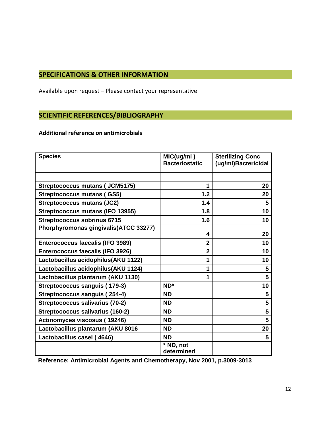#### **SPECIFICATIONS & OTHER INFORMATION**

Available upon request – Please contact your representative

#### **SCIENTIFIC REFERENCES/BIBLIOGRAPHY**

#### **Additional reference on antimicrobials**

| <b>Species</b>                          | MIC(ug/ml)              | <b>Sterilizing Conc</b> |
|-----------------------------------------|-------------------------|-------------------------|
|                                         | <b>Bacteriostatic</b>   | (ug/ml)Bactericidal     |
|                                         |                         |                         |
| <b>Streptococcus mutans (JCM5175)</b>   | 1                       | 20                      |
| <b>Streptococcus mutans (GS5)</b>       | 1.2                     | 20                      |
| <b>Streptococcus mutans (JC2)</b>       | 1.4                     | 5                       |
| <b>Streptococcus mutans (IFO 13955)</b> | 1.8                     | 10                      |
| <b>Streptococcus sobrinus 6715</b>      | 1.6                     | 10                      |
| Phorphyromonas gingivalis(ATCC 33277)   |                         |                         |
|                                         | 4                       | 20                      |
| Enterococcus faecalis (IFO 3989)        | $\overline{2}$          | 10                      |
| Enterococcus faecalis (IFO 3926)        | $\overline{2}$          | 10                      |
| Lactobacillus acidophilus(AKU 1122)     | 1                       | 10                      |
| Lactobacillus acidophilus(AKU 1124)     | 1                       | $\overline{\mathbf{5}}$ |
| Lactobacillus plantarum (AKU 1130)      | 1                       | $5\phantom{.0}$         |
| Streptococcus sanguis (179-3)           | ND*                     | 10                      |
| Streptococcus sanguis (254-4)           | <b>ND</b>               | $5\phantom{.0}$         |
| Streptococcus salivarius (70-2)         | <b>ND</b>               | 5                       |
| Streptococcus salivarius (160-2)        | ND                      | 5                       |
| Actinomyces viscosus (19246)            | <b>ND</b>               | 5                       |
| Lactobacillus plantarum (AKU 8016       | <b>ND</b>               | 20                      |
| Lactobacillus casei (4646)              | <b>ND</b>               | 5                       |
|                                         | * ND, not<br>determined |                         |

**Reference: Antimicrobial Agents and Chemotherapy, Nov 2001, p.3009-3013**